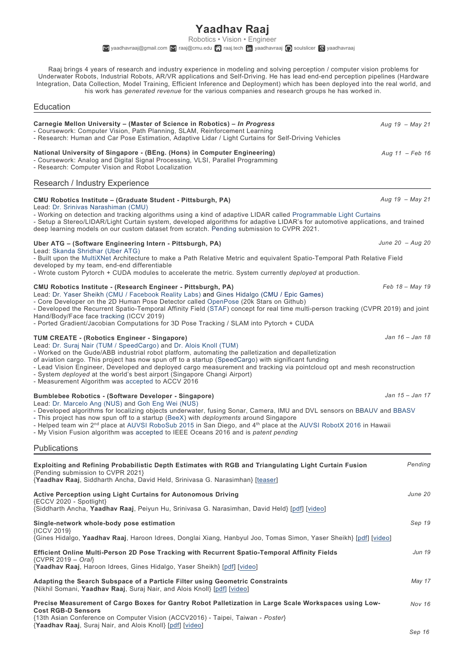**Yaadhav Raaj**

Robotics • Vision • Engineer  $\blacksquare$ <yaadhavraaj@gmail.com>  $\blacksquare$  <raaj@cmu.edu>  $\clubsuit$  [raaj.tech](https://raaj.tech)  $\blacksquare$  [yaadhavraaj](https://scholar.google.com/citations?user=JaA7wpgAAAAJ&hl=en)  $\spadesuit$  [soulslicer](https://github.com/soulslicer)  $\spadesuit$  yaadhavraaj

Raaj brings 4 years of research and industry experience in modeling and solving perception / computer vision problems for Underwater Robots, Industrial Robots, AR/VR applications and Self-Driving. He has lead end-end perception pipelines (Hardware Integration, Data Collection, Model Training, Efficient Inference and Deployment) which has been deployed into the real world, and his work has *generated revenue* for the various companies and research groups he has worked in.

Education

| Carnegie Mellon University – (Master of Science in Robotics) – In Progress<br>- Coursework: Computer Vision, Path Planning, SLAM, Reinforcement Learning<br>- Research: Human and Car Pose Estimation, Adaptive Lidar / Light Curtains for Self-Driving Vehicles                                                                                                                                                                                                                                                                                                                                     | Aug $19 - May 21$  |
|------------------------------------------------------------------------------------------------------------------------------------------------------------------------------------------------------------------------------------------------------------------------------------------------------------------------------------------------------------------------------------------------------------------------------------------------------------------------------------------------------------------------------------------------------------------------------------------------------|--------------------|
| National University of Singapore - (BEng. (Hons) in Computer Engineering)<br>- Coursework: Analog and Digital Signal Processing, VLSI, Parallel Programming<br>- Research: Computer Vision and Robot Localization                                                                                                                                                                                                                                                                                                                                                                                    | Aug $11$ - Feb 16  |
| Research / Industry Experience                                                                                                                                                                                                                                                                                                                                                                                                                                                                                                                                                                       |                    |
| CMU Robotics Institute - (Graduate Student - Pittsburgh, PA)<br>Lead: Dr. Srinivas Narashiman (CMU)                                                                                                                                                                                                                                                                                                                                                                                                                                                                                                  | Aug $19 - Mav 21$  |
| - Working on detection and tracking algorithms using a kind of adaptive LIDAR called Programmable Light Curtains<br>- Setup a Stereo/LIDAR/Light Curtain system, developed algorithms for adaptive LIDAR's for automotive applications, and trained<br>deep learning models on our custom dataset from scratch. Pending submission to CVPR 2021.                                                                                                                                                                                                                                                     |                    |
| Uber ATG – (Software Engineering Intern - Pittsburgh, PA)<br>Lead: Skanda Shridhar (Uber ATG)                                                                                                                                                                                                                                                                                                                                                                                                                                                                                                        | June 20 $-$ Aug 20 |
| - Built upon the MultiXNet Architecture to make a Path Relative Metric and equivalent Spatio-Temporal Path Relative Field<br>developed by my team, end-end differentiable<br>- Wrote custom Pytorch + CUDA modules to accelerate the metric. System currently <i>deployed</i> at production.                                                                                                                                                                                                                                                                                                         |                    |
| CMU Robotics Institute - (Research Engineer - Pittsburgh, PA)                                                                                                                                                                                                                                                                                                                                                                                                                                                                                                                                        | $Feb 18 - May 19$  |
| Lead: Dr. Yaser Sheikh (CMU / Facebook Reality Labs) and Gines Hidalgo (CMU / Epic Games)<br>- Core Developer on the 2D Human Pose Detector called OpenPose (20k Stars on Github)<br>- Developed the Recurrent Spatio-Temporal Affinity Field (STAF) concept for real time multi-person tracking (CVPR 2019) and joint<br>Hand/Body/Face face tracking (ICCV 2019)                                                                                                                                                                                                                                   |                    |
| - Ported Gradient/Jacobian Computations for 3D Pose Tracking / SLAM into Pytorch + CUDA                                                                                                                                                                                                                                                                                                                                                                                                                                                                                                              |                    |
| <b>TUM CREATE - (Robotics Engineer - Singapore)</b><br>Lead: Dr. Suraj Nair (TUM / SpeedCargo) and Dr. Alois Knoll (TUM)<br>- Worked on the Gude/ABB industrial robot platform, automating the palletization and depalletization<br>of aviation cargo. This project has now spun off to a startup (SpeedCargo) with significant funding<br>- Lead Vision Engineer, Developed and deployed cargo measurement and tracking via pointcloud opt and mesh reconstruction<br>- System deployed at the world's best airport (Singapore Changi Airport)<br>- Measurement Algorithm was accepted to ACCV 2016 | Jan 16 - Jan 18    |
| Bumblebee Robotics - (Software Developer - Singapore)                                                                                                                                                                                                                                                                                                                                                                                                                                                                                                                                                | Jan 15 - Jan 17    |
| Lead: Dr. Marcelo Ang (NUS) and Goh Eng Wei (NUS)<br>- Developed algorithms for localizing objects underwater, fusing Sonar, Camera, IMU and DVL sensors on BBAUV and BBASV<br>- This project has now spun off to a startup (BeeX) with deployments around Singapore<br>- Helped team win 2 <sup>nd</sup> place at AUVSI RoboSub 2015 in San Diego, and 4 <sup>th</sup> place at the AUVSI RobotX 2016 in Hawaii<br>- My Vision Fusion algorithm was accepted to IEEE Oceans 2016 and is patent pending                                                                                              |                    |
| Publications                                                                                                                                                                                                                                                                                                                                                                                                                                                                                                                                                                                         |                    |
| Exploiting and Refining Probabilistic Depth Estimates with RGB and Triangulating Light Curtain Fusion<br>{Pending submission to CVPR 2021}<br>{Yaadhav Raaj, Siddharth Ancha, David Held, Srinivasa G. Narasimhan} [teaser]                                                                                                                                                                                                                                                                                                                                                                          | Pending            |
| <b>Active Perception using Light Curtains for Autonomous Driving</b><br>{ECCV 2020 - Spotlight}<br>{Siddharth Ancha, Yaadhav Raaj, Peiyun Hu, Srinivasa G. Narasimhan, David Held} [pdf] [video]                                                                                                                                                                                                                                                                                                                                                                                                     | June 20            |
| Single-network whole-body pose estimation                                                                                                                                                                                                                                                                                                                                                                                                                                                                                                                                                            | Sep 19             |
| {ICCV 2019}<br>{Gines Hidalgo, Yaadhav Raaj, Haroon Idrees, Donglai Xiang, Hanbyul Joo, Tomas Simon, Yaser Sheikh} [pdf] [video]                                                                                                                                                                                                                                                                                                                                                                                                                                                                     |                    |
| Efficient Online Multi-Person 2D Pose Tracking with Recurrent Spatio-Temporal Affinity Fields<br>$\{CVPR 2019 - Oral\}$<br>{Yaadhav Raaj, Haroon Idrees, Gines Hidalgo, Yaser Sheikh} [pdf] [video]                                                                                                                                                                                                                                                                                                                                                                                                  | Jun 19             |
| Adapting the Search Subspace of a Particle Filter using Geometric Constraints<br>{Nikhil Somani, Yaadhav Raaj, Suraj Nair, and Alois Knoll} [pdf] [video]                                                                                                                                                                                                                                                                                                                                                                                                                                            | May 17             |
| Precise Measurement of Cargo Boxes for Gantry Robot Palletization in Large Scale Workspaces using Low-<br><b>Cost RGB-D Sensors</b><br>{13th Asian Conference on Computer Vision (ACCV2016) - Taipei, Taiwan - Poster}<br>{Yaadhav Raaj, Suraj Nair, and Alois Knoll} [pdf] [video]                                                                                                                                                                                                                                                                                                                  | <b>Nov 16</b>      |